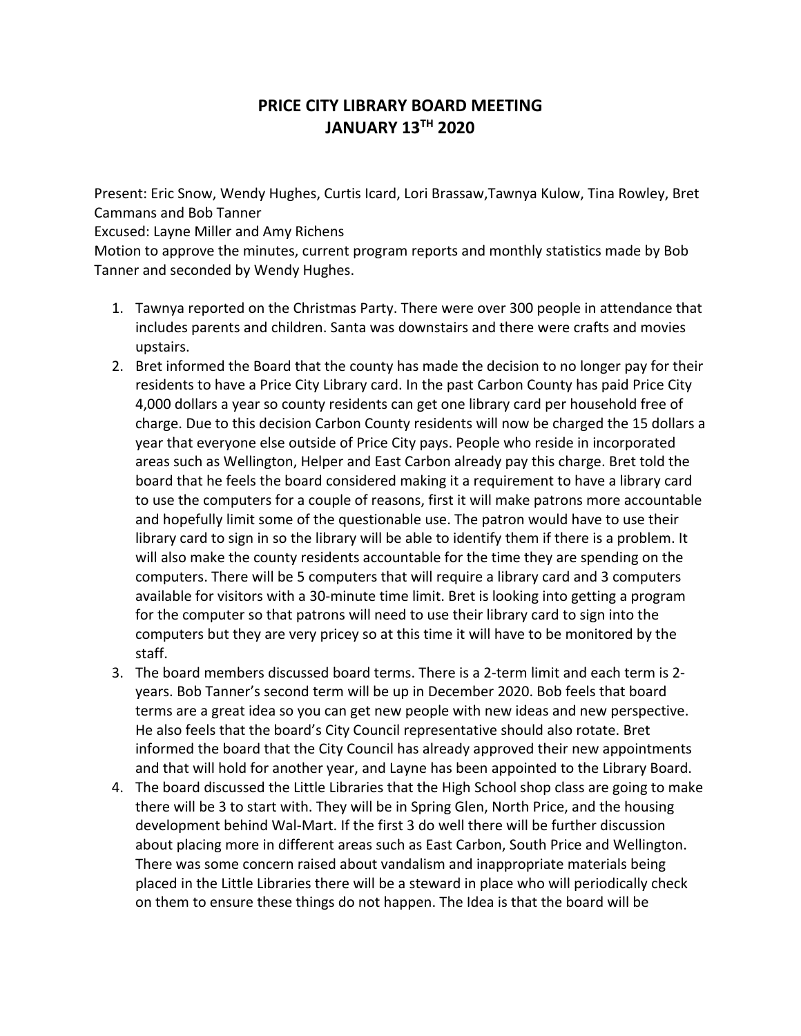## **PRICE CITY LIBRARY BOARD MEETING JANUARY 13TH 2020**

Present: Eric Snow, Wendy Hughes, Curtis Icard, Lori Brassaw,Tawnya Kulow, Tina Rowley, Bret Cammans and Bob Tanner

Excused: Layne Miller and Amy Richens

Motion to approve the minutes, current program reports and monthly statistics made by Bob Tanner and seconded by Wendy Hughes.

- 1. Tawnya reported on the Christmas Party. There were over 300 people in attendance that includes parents and children. Santa was downstairs and there were crafts and movies upstairs.
- 2. Bret informed the Board that the county has made the decision to no longer pay for their residents to have a Price City Library card. In the past Carbon County has paid Price City 4,000 dollars a year so county residents can get one library card per household free of charge. Due to this decision Carbon County residents will now be charged the 15 dollars a year that everyone else outside of Price City pays. People who reside in incorporated areas such as Wellington, Helper and East Carbon already pay this charge. Bret told the board that he feels the board considered making it a requirement to have a library card to use the computers for a couple of reasons, first it will make patrons more accountable and hopefully limit some of the questionable use. The patron would have to use their library card to sign in so the library will be able to identify them if there is a problem. It will also make the county residents accountable for the time they are spending on the computers. There will be 5 computers that will require a library card and 3 computers available for visitors with a 30‐minute time limit. Bret is looking into getting a program for the computer so that patrons will need to use their library card to sign into the computers but they are very pricey so at this time it will have to be monitored by the staff.
- 3. The board members discussed board terms. There is a 2‐term limit and each term is 2‐ years. Bob Tanner's second term will be up in December 2020. Bob feels that board terms are a great idea so you can get new people with new ideas and new perspective. He also feels that the board's City Council representative should also rotate. Bret informed the board that the City Council has already approved their new appointments and that will hold for another year, and Layne has been appointed to the Library Board.
- 4. The board discussed the Little Libraries that the High School shop class are going to make there will be 3 to start with. They will be in Spring Glen, North Price, and the housing development behind Wal‐Mart. If the first 3 do well there will be further discussion about placing more in different areas such as East Carbon, South Price and Wellington. There was some concern raised about vandalism and inappropriate materials being placed in the Little Libraries there will be a steward in place who will periodically check on them to ensure these things do not happen. The Idea is that the board will be